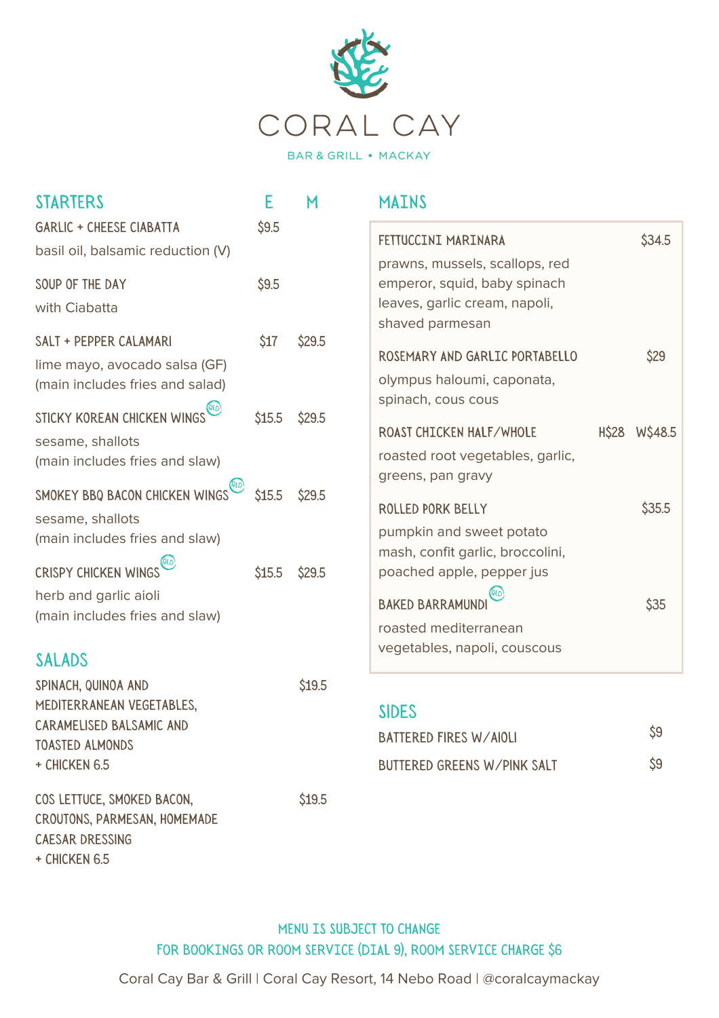

| <b>STARTERS</b>                                                                                                           | E      | M      | <b>MAINS</b>                                                                                                        |              |         |
|---------------------------------------------------------------------------------------------------------------------------|--------|--------|---------------------------------------------------------------------------------------------------------------------|--------------|---------|
| <b>GARLIC + CHEESE CIABATTA</b><br>basil oil, balsamic reduction (V)                                                      | \$9.5  |        | FETTUCCINI MARINARA<br>prawns, mussels, scallops, red                                                               |              | \$34.5  |
| SOUP OF THE DAY<br>with Ciabatta                                                                                          | \$9.5  |        | emperor, squid, baby spinach<br>leaves, garlic cream, napoli,<br>shaved parmesan                                    |              |         |
| SALT + PEPPER CALAMARI<br>lime mayo, avocado salsa (GF)<br>(main includes fries and salad)<br>STICKY KOREAN CHICKEN WINGS | \$17   | \$29.5 | ROSEMARY AND GARLIC PORTABELLO<br>olympus haloumi, caponata,<br>spinach, cous cous                                  |              | \$29    |
| sesame, shallots<br>(main includes fries and slaw)                                                                        | \$15.5 | \$29.5 | ROAST CHICKEN HALF/WHOLE<br>roasted root vegetables, garlic,<br>greens, pan gravy                                   | <b>H\$28</b> | W\$48.5 |
| SMOKEY BBQ BACON CHICKEN WINGS<br>sesame, shallots<br>(main includes fries and slaw)<br><b>CRISPY CHICKEN WINGS</b>       | \$15.5 | \$29.5 | ROLLED PORK BELLY<br>pumpkin and sweet potato<br>mash, confit garlic, broccolini,                                   |              | \$35.5  |
| herb and garlic aioli<br>(main includes fries and slaw)<br><b>SALADS</b>                                                  | \$15.5 | \$29.5 | poached apple, pepper jus<br>QLD<br><b>BAKED BARRAMUND</b><br>roasted mediterranean<br>vegetables, napoli, couscous |              | \$35    |
| SPINACH, QUINOA AND<br>MEDITERRANEAN VEGETABLES,<br>CARAMELISED BALSAMIC AND<br><b>TOASTED ALMONDS</b>                    |        | \$19.5 | <b>SIDES</b><br>BATTERED FIRES W/AIOLI                                                                              |              | \$9     |
| + CHICKEN 6.5<br>COS LETTUCE, SMOKED BACON,<br>CROUTONS, PARMESAN, HOMEMADE                                               |        | \$19.5 | <b>BUTTERED GREENS W/PINK SALT</b>                                                                                  |              | \$9     |

MENU IS SUBJECT TO CHANGE FOR BOOKINGS OR ROOM SERVICE (DIAL 9), ROOM SERVICE CHARGE \$6

CAESAR DRESSING + Chicken 6.5

Coral Cay Bar & Grill | Coral Cay Resort, 14 Nebo Road | @coralcaymackay